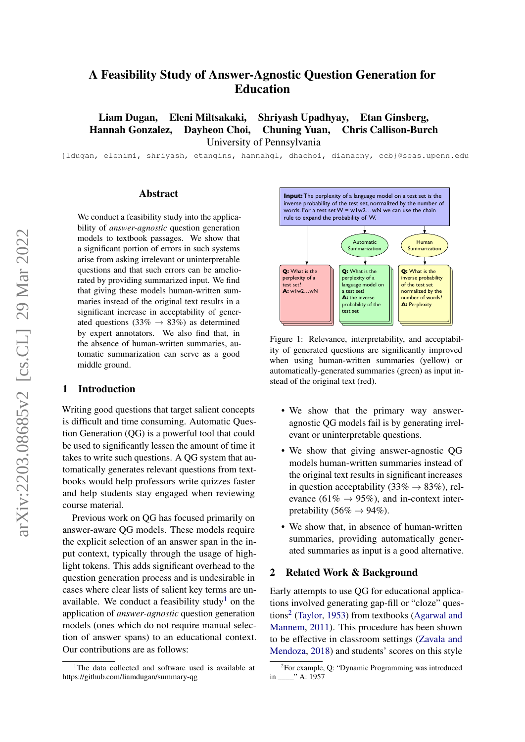# A Feasibility Study of Answer-Agnostic Question Generation for Education

Liam Dugan, Eleni Miltsakaki, Shriyash Upadhyay, Etan Ginsberg, Hannah Gonzalez, Dayheon Choi, Chuning Yuan, Chris Callison-Burch University of Pennsylvania

{ldugan, elenimi, shriyash, etangins, hannahgl, dhachoi, dianacny, ccb}@seas.upenn.edu

### Abstract

We conduct a feasibility study into the applicability of *answer-agnostic* question generation models to textbook passages. We show that a significant portion of errors in such systems arise from asking irrelevant or uninterpretable questions and that such errors can be ameliorated by providing summarized input. We find that giving these models human-written summaries instead of the original text results in a significant increase in acceptability of generated questions (33%  $\rightarrow$  83%) as determined by expert annotators. We also find that, in the absence of human-written summaries, automatic summarization can serve as a good middle ground.

#### 1 Introduction

Writing good questions that target salient concepts is difficult and time consuming. Automatic Question Generation (QG) is a powerful tool that could be used to significantly lessen the amount of time it takes to write such questions. A QG system that automatically generates relevant questions from textbooks would help professors write quizzes faster and help students stay engaged when reviewing course material.

Previous work on QG has focused primarily on answer-aware QG models. These models require the explicit selection of an answer span in the input context, typically through the usage of highlight tokens. This adds significant overhead to the question generation process and is undesirable in cases where clear lists of salient key terms are un-available. We conduct a feasibility study<sup>[1](#page-0-0)</sup> on the application of *answer-agnostic* question generation models (ones which do not require manual selection of answer spans) to an educational context. Our contributions are as follows:



Figure 1: Relevance, interpretability, and acceptability of generated questions are significantly improved when using human-written summaries (yellow) or automatically-generated summaries (green) as input instead of the original text (red).

- We show that the primary way answeragnostic QG models fail is by generating irrelevant or uninterpretable questions.
- We show that giving answer-agnostic QG models human-written summaries instead of the original text results in significant increases in question acceptability (33%  $\rightarrow$  83%), relevance (61%  $\rightarrow$  95%), and in-context interpretability (56%  $\rightarrow$  94%).
- We show that, in absence of human-written summaries, providing automatically generated summaries as input is a good alternative.

## 2 Related Work & Background

Early attempts to use QG for educational applications involved generating gap-fill or "cloze" ques-tions<sup>[2](#page-0-1)</sup> [\(Taylor,](#page-5-0) [1953\)](#page-5-0) from textbooks [\(Agarwal and](#page-4-0) [Mannem,](#page-4-0) [2011\)](#page-4-0). This procedure has been shown to be effective in classroom settings [\(Zavala and](#page-5-1) [Mendoza,](#page-5-1) [2018\)](#page-5-1) and students' scores on this style

<span id="page-0-0"></span><sup>&</sup>lt;sup>1</sup>The data collected and software used is available at https://github.com/liamdugan/summary-qg

<span id="page-0-1"></span><sup>2</sup> For example, Q: "Dynamic Programming was introduced in \_\_\_\_" A: 1957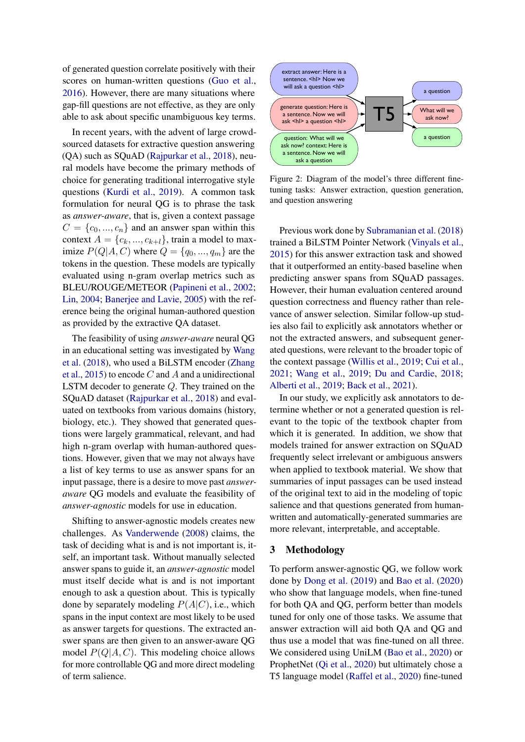of generated question correlate positively with their scores on human-written questions [\(Guo et al.,](#page-4-1) [2016\)](#page-4-1). However, there are many situations where gap-fill questions are not effective, as they are only able to ask about specific unambiguous key terms.

In recent years, with the advent of large crowdsourced datasets for extractive question answering (QA) such as SQuAD [\(Rajpurkar et al.,](#page-5-2) [2018\)](#page-5-2), neural models have become the primary methods of choice for generating traditional interrogative style questions [\(Kurdi et al.,](#page-4-2) [2019\)](#page-4-2). A common task formulation for neural QG is to phrase the task as *answer-aware*, that is, given a context passage  $C = \{c_0, ..., c_n\}$  and an answer span within this context  $A = \{c_k, ..., c_{k+l}\}\$ , train a model to maximize  $P(Q|A, C)$  where  $Q = \{q_0, ..., q_m\}$  are the tokens in the question. These models are typically evaluated using n-gram overlap metrics such as BLEU/ROUGE/METEOR [\(Papineni et al.,](#page-5-3) [2002;](#page-5-3) [Lin,](#page-4-3) [2004;](#page-4-3) [Banerjee and Lavie,](#page-4-4) [2005\)](#page-4-4) with the reference being the original human-authored question as provided by the extractive QA dataset.

The feasibility of using *answer-aware* neural QG in an educational setting was investigated by [Wang](#page-5-4) [et al.](#page-5-4) [\(2018\)](#page-5-4), who used a BiLSTM encoder [\(Zhang](#page-5-5) [et al.,](#page-5-5) [2015\)](#page-5-5) to encode  $C$  and  $A$  and a unidirectional LSTM decoder to generate Q. They trained on the SQuAD dataset [\(Rajpurkar et al.,](#page-5-2) [2018\)](#page-5-2) and evaluated on textbooks from various domains (history, biology, etc.). They showed that generated questions were largely grammatical, relevant, and had high n-gram overlap with human-authored questions. However, given that we may not always have a list of key terms to use as answer spans for an input passage, there is a desire to move past *answeraware* QG models and evaluate the feasibility of *answer-agnostic* models for use in education.

Shifting to answer-agnostic models creates new challenges. As [Vanderwende](#page-5-6) [\(2008\)](#page-5-6) claims, the task of deciding what is and is not important is, itself, an important task. Without manually selected answer spans to guide it, an *answer-agnostic* model must itself decide what is and is not important enough to ask a question about. This is typically done by separately modeling  $P(A|C)$ , i.e., which spans in the input context are most likely to be used as answer targets for questions. The extracted answer spans are then given to an answer-aware QG model  $P(Q|A, C)$ . This modeling choice allows for more controllable QG and more direct modeling of term salience.

<span id="page-1-0"></span>

Figure 2: Diagram of the model's three different finetuning tasks: Answer extraction, question generation, and question answering

Previous work done by [Subramanian et al.](#page-5-7) [\(2018\)](#page-5-7) trained a BiLSTM Pointer Network [\(Vinyals et al.,](#page-5-8) [2015\)](#page-5-8) for this answer extraction task and showed that it outperformed an entity-based baseline when predicting answer spans from SQuAD passages. However, their human evaluation centered around question correctness and fluency rather than relevance of answer selection. Similar follow-up studies also fail to explicitly ask annotators whether or not the extracted answers, and subsequent generated questions, were relevant to the broader topic of the context passage [\(Willis et al.,](#page-5-9) [2019;](#page-5-9) [Cui et al.,](#page-4-5) [2021;](#page-4-5) [Wang et al.,](#page-5-10) [2019;](#page-5-10) [Du and Cardie,](#page-4-6) [2018;](#page-4-6) [Alberti et al.,](#page-4-7) [2019;](#page-4-7) [Back et al.,](#page-4-8) [2021\)](#page-4-8).

In our study, we explicitly ask annotators to determine whether or not a generated question is relevant to the topic of the textbook chapter from which it is generated. In addition, we show that models trained for answer extraction on SQuAD frequently select irrelevant or ambiguous answers when applied to textbook material. We show that summaries of input passages can be used instead of the original text to aid in the modeling of topic salience and that questions generated from humanwritten and automatically-generated summaries are more relevant, interpretable, and acceptable.

#### <span id="page-1-1"></span>3 Methodology

To perform answer-agnostic QG, we follow work done by [Dong et al.](#page-4-9) [\(2019\)](#page-4-9) and [Bao et al.](#page-4-10) [\(2020\)](#page-4-10) who show that language models, when fine-tuned for both QA and QG, perform better than models tuned for only one of those tasks. We assume that answer extraction will aid both QA and QG and thus use a model that was fine-tuned on all three. We considered using UniLM [\(Bao et al.,](#page-4-10) [2020\)](#page-4-10) or ProphetNet [\(Qi et al.,](#page-5-11) [2020\)](#page-5-11) but ultimately chose a T5 language model [\(Raffel et al.,](#page-5-12) [2020\)](#page-5-12) fine-tuned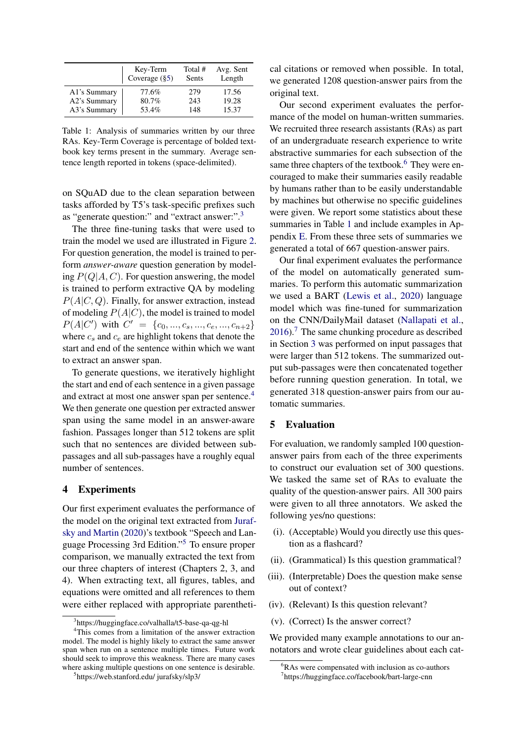<span id="page-2-5"></span>

|              | Key-Term         | Total #      | Avg. Sent |
|--------------|------------------|--------------|-----------|
|              | Coverage $(\S5)$ | <b>Sents</b> | Length    |
| A1's Summary | 77.6%            | 279          | 17.56     |
| A2's Summary | 80.7%            | 243          | 19.28     |
| A3's Summary | 53.4%            | 148          | 15.37     |

Table 1: Analysis of summaries written by our three RAs. Key-Term Coverage is percentage of bolded textbook key terms present in the summary. Average sentence length reported in tokens (space-delimited).

on SQuAD due to the clean separation between tasks afforded by T5's task-specific prefixes such as "generate question:" and "extract answer:".[3](#page-2-1)

The three fine-tuning tasks that were used to train the model we used are illustrated in Figure [2.](#page-1-0) For question generation, the model is trained to perform *answer-aware* question generation by modeling  $P(Q|A, C)$ . For question answering, the model is trained to perform extractive QA by modeling  $P(A|C, Q)$ . Finally, for answer extraction, instead of modeling  $P(A|C)$ , the model is trained to model  $P(A|C')$  with  $C' = \{c_0, ..., c_s, ..., c_e, ..., c_{n+2}\}$ where  $c_s$  and  $c_e$  are highlight tokens that denote the start and end of the sentence within which we want to extract an answer span.

To generate questions, we iteratively highlight the start and end of each sentence in a given passage and extract at most one answer span per sentence.<sup>[4](#page-2-2)</sup> We then generate one question per extracted answer span using the same model in an answer-aware fashion. Passages longer than 512 tokens are split such that no sentences are divided between subpassages and all sub-passages have a roughly equal number of sentences.

## 4 Experiments

Our first experiment evaluates the performance of the model on the original text extracted from [Juraf](#page-4-11)[sky and Martin](#page-4-11) [\(2020\)](#page-4-11)'s textbook "Speech and Language Processing 3rd Edition."[5](#page-2-3) To ensure proper comparison, we manually extracted the text from our three chapters of interest (Chapters 2, 3, and 4). When extracting text, all figures, tables, and equations were omitted and all references to them were either replaced with appropriate parenthetical citations or removed when possible. In total, we generated 1208 question-answer pairs from the original text.

Our second experiment evaluates the performance of the model on human-written summaries. We recruited three research assistants (RAs) as part of an undergraduate research experience to write abstractive summaries for each subsection of the same three chapters of the textbook.<sup>[6](#page-2-4)</sup> They were encouraged to make their summaries easily readable by humans rather than to be easily understandable by machines but otherwise no specific guidelines were given. We report some statistics about these summaries in Table [1](#page-2-5) and include examples in Appendix [E.](#page-6-0) From these three sets of summaries we generated a total of 667 question-answer pairs.

Our final experiment evaluates the performance of the model on automatically generated summaries. To perform this automatic summarization we used a BART [\(Lewis et al.,](#page-4-12) [2020\)](#page-4-12) language model which was fine-tuned for summarization on the CNN/DailyMail dataset [\(Nallapati et al.,](#page-5-13)  $2016$ .<sup>[7](#page-2-6)</sup> The same chunking procedure as described in Section [3](#page-1-1) was performed on input passages that were larger than 512 tokens. The summarized output sub-passages were then concatenated together before running question generation. In total, we generated 318 question-answer pairs from our automatic summaries.

### <span id="page-2-0"></span>5 Evaluation

For evaluation, we randomly sampled 100 questionanswer pairs from each of the three experiments to construct our evaluation set of 300 questions. We tasked the same set of RAs to evaluate the quality of the question-answer pairs. All 300 pairs were given to all three annotators. We asked the following yes/no questions:

- (i). (Acceptable) Would you directly use this question as a flashcard?
- (ii). (Grammatical) Is this question grammatical?
- (iii). (Interpretable) Does the question make sense out of context?
- (iv). (Relevant) Is this question relevant?
- (v). (Correct) Is the answer correct?

We provided many example annotations to our annotators and wrote clear guidelines about each cat-

<span id="page-2-2"></span><span id="page-2-1"></span><sup>3</sup> https://huggingface.co/valhalla/t5-base-qa-qg-hl

<sup>&</sup>lt;sup>4</sup>This comes from a limitation of the answer extraction model. The model is highly likely to extract the same answer span when run on a sentence multiple times. Future work should seek to improve this weakness. There are many cases where asking multiple questions on one sentence is desirable.

<span id="page-2-3"></span><sup>5</sup> https://web.stanford.edu/ jurafsky/slp3/

<span id="page-2-4"></span><sup>&</sup>lt;sup>6</sup>RAs were compensated with inclusion as co-authors

<span id="page-2-6"></span><sup>7</sup> https://huggingface.co/facebook/bart-large-cnn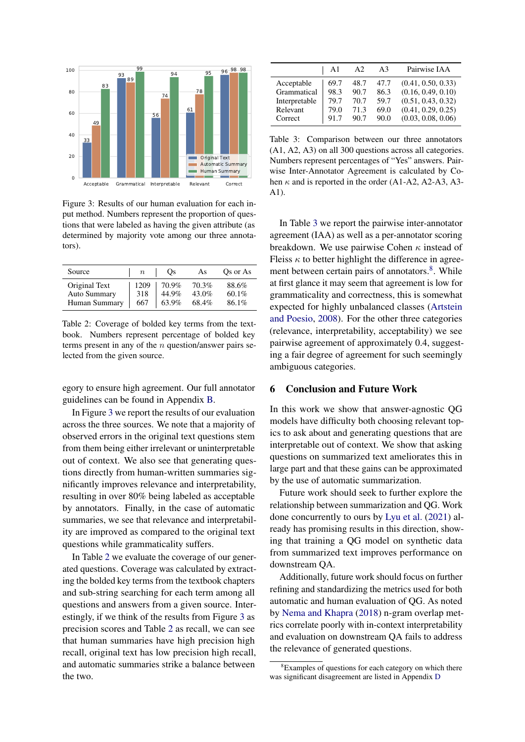<span id="page-3-0"></span>

Figure 3: Results of our human evaluation for each input method. Numbers represent the proportion of questions that were labeled as having the given attribute (as determined by majority vote among our three annotators).

<span id="page-3-1"></span>

| Source              | $\it n$ | Os    | As    | Qs or As |
|---------------------|---------|-------|-------|----------|
| Original Text       | 1209    | 70.9% | 70.3% | 88.6%    |
| <b>Auto Summary</b> | 318     | 44.9% | 43.0% | $60.1\%$ |
| Human Summary       | 667     | 63.9% | 68.4% | 86.1%    |

Table 2: Coverage of bolded key terms from the textbook. Numbers represent percentage of bolded key terms present in any of the  $n$  question/answer pairs selected from the given source.

egory to ensure high agreement. Our full annotator guidelines can be found in Appendix [B.](#page-5-14)

In Figure [3](#page-3-0) we report the results of our evaluation across the three sources. We note that a majority of observed errors in the original text questions stem from them being either irrelevant or uninterpretable out of context. We also see that generating questions directly from human-written summaries significantly improves relevance and interpretability, resulting in over 80% being labeled as acceptable by annotators. Finally, in the case of automatic summaries, we see that relevance and interpretability are improved as compared to the original text questions while grammaticality suffers.

In Table [2](#page-3-1) we evaluate the coverage of our generated questions. Coverage was calculated by extracting the bolded key terms from the textbook chapters and sub-string searching for each term among all questions and answers from a given source. Interestingly, if we think of the results from Figure [3](#page-3-0) as precision scores and Table [2](#page-3-1) as recall, we can see that human summaries have high precision high recall, original text has low precision high recall, and automatic summaries strike a balance between the two.

<span id="page-3-2"></span>

|               | Αl   | A2   | A3   | Pairwise IAA       |
|---------------|------|------|------|--------------------|
| Acceptable    | 69.7 | 48.7 | 47.7 | (0.41, 0.50, 0.33) |
| Grammatical   | 98.3 | 90.7 | 86.3 | (0.16, 0.49, 0.10) |
| Interpretable | 79.7 | 70.7 | 59.7 | (0.51, 0.43, 0.32) |
| Relevant      | 79.0 | 71.3 | 69.0 | (0.41, 0.29, 0.25) |
| Correct       | 91.7 | 90.7 | 90.0 | (0.03, 0.08, 0.06) |

Table 3: Comparison between our three annotators (A1, A2, A3) on all 300 questions across all categories. Numbers represent percentages of "Yes" answers. Pairwise Inter-Annotator Agreement is calculated by Cohen  $\kappa$  and is reported in the order (A1-A2, A2-A3, A3-A1).

In Table [3](#page-3-2) we report the pairwise inter-annotator agreement (IAA) as well as a per-annotator scoring breakdown. We use pairwise Cohen  $\kappa$  instead of Fleiss  $\kappa$  to better highlight the difference in agree-ment between certain pairs of annotators.<sup>[8](#page-3-3)</sup>. While at first glance it may seem that agreement is low for grammaticality and correctness, this is somewhat expected for highly unbalanced classes [\(Artstein](#page-4-13) [and Poesio,](#page-4-13) [2008\)](#page-4-13). For the other three categories (relevance, interpretability, acceptability) we see pairwise agreement of approximately 0.4, suggesting a fair degree of agreement for such seemingly ambiguous categories.

## 6 Conclusion and Future Work

In this work we show that answer-agnostic QG models have difficulty both choosing relevant topics to ask about and generating questions that are interpretable out of context. We show that asking questions on summarized text ameliorates this in large part and that these gains can be approximated by the use of automatic summarization.

Future work should seek to further explore the relationship between summarization and QG. Work done concurrently to ours by [Lyu et al.](#page-4-14) [\(2021\)](#page-4-14) already has promising results in this direction, showing that training a QG model on synthetic data from summarized text improves performance on downstream QA.

Additionally, future work should focus on further refining and standardizing the metrics used for both automatic and human evaluation of QG. As noted by [Nema and Khapra](#page-5-15) [\(2018\)](#page-5-15) n-gram overlap metrics correlate poorly with in-context interpretability and evaluation on downstream QA fails to address the relevance of generated questions.

<span id="page-3-3"></span><sup>&</sup>lt;sup>8</sup>Examples of questions for each category on which there was significant disagreement are listed in Appendix [D](#page-6-1)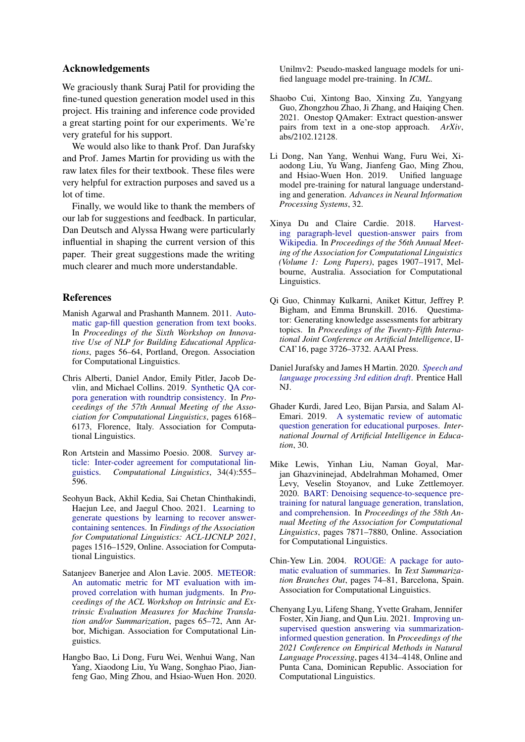## Acknowledgements

We graciously thank Suraj Patil for providing the fine-tuned question generation model used in this project. His training and inference code provided a great starting point for our experiments. We're very grateful for his support.

We would also like to thank Prof. Dan Jurafsky and Prof. James Martin for providing us with the raw latex files for their textbook. These files were very helpful for extraction purposes and saved us a lot of time.

Finally, we would like to thank the members of our lab for suggestions and feedback. In particular, Dan Deutsch and Alyssa Hwang were particularly influential in shaping the current version of this paper. Their great suggestions made the writing much clearer and much more understandable.

## **References**

- <span id="page-4-0"></span>Manish Agarwal and Prashanth Mannem. 2011. [Auto](https://aclanthology.org/W11-1407)[matic gap-fill question generation from text books.](https://aclanthology.org/W11-1407) In *Proceedings of the Sixth Workshop on Innovative Use of NLP for Building Educational Applications*, pages 56–64, Portland, Oregon. Association for Computational Linguistics.
- <span id="page-4-7"></span>Chris Alberti, Daniel Andor, Emily Pitler, Jacob Devlin, and Michael Collins. 2019. [Synthetic QA cor](https://doi.org/10.18653/v1/P19-1620)[pora generation with roundtrip consistency.](https://doi.org/10.18653/v1/P19-1620) In *Proceedings of the 57th Annual Meeting of the Association for Computational Linguistics*, pages 6168– 6173, Florence, Italy. Association for Computational Linguistics.
- <span id="page-4-13"></span>Ron Artstein and Massimo Poesio. 2008. [Survey ar](https://doi.org/10.1162/coli.07-034-R2)[ticle: Inter-coder agreement for computational lin](https://doi.org/10.1162/coli.07-034-R2)[guistics.](https://doi.org/10.1162/coli.07-034-R2) *Computational Linguistics*, 34(4):555– 596.
- <span id="page-4-8"></span>Seohyun Back, Akhil Kedia, Sai Chetan Chinthakindi, Haejun Lee, and Jaegul Choo. 2021. [Learning to](https://doi.org/10.18653/v1/2021.findings-acl.132) [generate questions by learning to recover answer](https://doi.org/10.18653/v1/2021.findings-acl.132)[containing sentences.](https://doi.org/10.18653/v1/2021.findings-acl.132) In *Findings of the Association for Computational Linguistics: ACL-IJCNLP 2021*, pages 1516–1529, Online. Association for Computational Linguistics.
- <span id="page-4-4"></span>Satanjeev Banerjee and Alon Lavie. 2005. [METEOR:](https://aclanthology.org/W05-0909) [An automatic metric for MT evaluation with im](https://aclanthology.org/W05-0909)[proved correlation with human judgments.](https://aclanthology.org/W05-0909) In *Proceedings of the ACL Workshop on Intrinsic and Extrinsic Evaluation Measures for Machine Translation and/or Summarization*, pages 65–72, Ann Arbor, Michigan. Association for Computational Linguistics.
- <span id="page-4-10"></span>Hangbo Bao, Li Dong, Furu Wei, Wenhui Wang, Nan Yang, Xiaodong Liu, Yu Wang, Songhao Piao, Jianfeng Gao, Ming Zhou, and Hsiao-Wuen Hon. 2020.

Unilmv2: Pseudo-masked language models for unified language model pre-training. In *ICML*.

- <span id="page-4-5"></span>Shaobo Cui, Xintong Bao, Xinxing Zu, Yangyang Guo, Zhongzhou Zhao, Ji Zhang, and Haiqing Chen. 2021. Onestop QAmaker: Extract question-answer pairs from text in a one-stop approach. *ArXiv*, abs/2102.12128.
- <span id="page-4-9"></span>Li Dong, Nan Yang, Wenhui Wang, Furu Wei, Xiaodong Liu, Yu Wang, Jianfeng Gao, Ming Zhou, and Hsiao-Wuen Hon. 2019. Unified language model pre-training for natural language understanding and generation. *Advances in Neural Information Processing Systems*, 32.
- <span id="page-4-6"></span>Xinya Du and Claire Cardie. 2018. [Harvest](https://doi.org/10.18653/v1/P18-1177)[ing paragraph-level question-answer pairs from](https://doi.org/10.18653/v1/P18-1177) [Wikipedia.](https://doi.org/10.18653/v1/P18-1177) In *Proceedings of the 56th Annual Meeting of the Association for Computational Linguistics (Volume 1: Long Papers)*, pages 1907–1917, Melbourne, Australia. Association for Computational Linguistics.
- <span id="page-4-1"></span>Qi Guo, Chinmay Kulkarni, Aniket Kittur, Jeffrey P. Bigham, and Emma Brunskill. 2016. Questimator: Generating knowledge assessments for arbitrary topics. In *Proceedings of the Twenty-Fifth International Joint Conference on Artificial Intelligence*, IJ-CAI'16, page 3726–3732. AAAI Press.
- <span id="page-4-11"></span>Daniel Jurafsky and James H Martin. 2020. *[Speech and](https://web.stanford.edu/~jurafsky/slp3/) [language processing 3rd edition draft](https://web.stanford.edu/~jurafsky/slp3/)*. Prentice Hall NJ.
- <span id="page-4-2"></span>Ghader Kurdi, Jared Leo, Bijan Parsia, and Salam Al-Emari. 2019. [A systematic review of automatic](https://doi.org/10.1007/s40593-019-00186-y) [question generation for educational purposes.](https://doi.org/10.1007/s40593-019-00186-y) *International Journal of Artificial Intelligence in Education*, 30.
- <span id="page-4-12"></span>Mike Lewis, Yinhan Liu, Naman Goyal, Marjan Ghazvininejad, Abdelrahman Mohamed, Omer Levy, Veselin Stoyanov, and Luke Zettlemoyer. 2020. [BART: Denoising sequence-to-sequence pre](https://doi.org/10.18653/v1/2020.acl-main.703)[training for natural language generation, translation,](https://doi.org/10.18653/v1/2020.acl-main.703) [and comprehension.](https://doi.org/10.18653/v1/2020.acl-main.703) In *Proceedings of the 58th Annual Meeting of the Association for Computational Linguistics*, pages 7871–7880, Online. Association for Computational Linguistics.
- <span id="page-4-3"></span>Chin-Yew Lin. 2004. [ROUGE: A package for auto](https://aclanthology.org/W04-1013)[matic evaluation of summaries.](https://aclanthology.org/W04-1013) In *Text Summarization Branches Out*, pages 74–81, Barcelona, Spain. Association for Computational Linguistics.
- <span id="page-4-14"></span>Chenyang Lyu, Lifeng Shang, Yvette Graham, Jennifer Foster, Xin Jiang, and Qun Liu. 2021. [Improving un](https://aclanthology.org/2021.emnlp-main.340)[supervised question answering via summarization](https://aclanthology.org/2021.emnlp-main.340)[informed question generation.](https://aclanthology.org/2021.emnlp-main.340) In *Proceedings of the 2021 Conference on Empirical Methods in Natural Language Processing*, pages 4134–4148, Online and Punta Cana, Dominican Republic. Association for Computational Linguistics.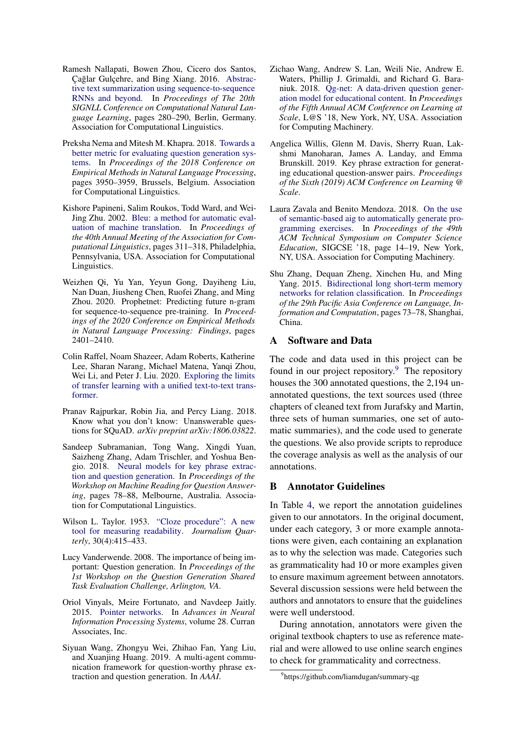- <span id="page-5-13"></span>Ramesh Nallapati, Bowen Zhou, Cicero dos Santos, Cağlar Gulçehre, and Bing Xiang. 2016. [Abstrac](https://doi.org/10.18653/v1/K16-1028)[tive text summarization using sequence-to-sequence](https://doi.org/10.18653/v1/K16-1028) [RNNs and beyond.](https://doi.org/10.18653/v1/K16-1028) In *Proceedings of The 20th SIGNLL Conference on Computational Natural Language Learning*, pages 280–290, Berlin, Germany. Association for Computational Linguistics.
- <span id="page-5-15"></span>Preksha Nema and Mitesh M. Khapra. 2018. [Towards a](https://doi.org/10.18653/v1/D18-1429) [better metric for evaluating question generation sys](https://doi.org/10.18653/v1/D18-1429)[tems.](https://doi.org/10.18653/v1/D18-1429) In *Proceedings of the 2018 Conference on Empirical Methods in Natural Language Processing*, pages 3950–3959, Brussels, Belgium. Association for Computational Linguistics.
- <span id="page-5-3"></span>Kishore Papineni, Salim Roukos, Todd Ward, and Wei-Jing Zhu. 2002. [Bleu: a method for automatic eval](https://doi.org/10.3115/1073083.1073135)[uation of machine translation.](https://doi.org/10.3115/1073083.1073135) In *Proceedings of the 40th Annual Meeting of the Association for Computational Linguistics*, pages 311–318, Philadelphia, Pennsylvania, USA. Association for Computational Linguistics.
- <span id="page-5-11"></span>Weizhen Qi, Yu Yan, Yeyun Gong, Dayiheng Liu, Nan Duan, Jiusheng Chen, Ruofei Zhang, and Ming Zhou. 2020. Prophetnet: Predicting future n-gram for sequence-to-sequence pre-training. In *Proceedings of the 2020 Conference on Empirical Methods in Natural Language Processing: Findings*, pages 2401–2410.
- <span id="page-5-12"></span>Colin Raffel, Noam Shazeer, Adam Roberts, Katherine Lee, Sharan Narang, Michael Matena, Yanqi Zhou, Wei Li, and Peter J. Liu. 2020. [Exploring the limits](http://arxiv.org/abs/1910.10683) [of transfer learning with a unified text-to-text trans](http://arxiv.org/abs/1910.10683)[former.](http://arxiv.org/abs/1910.10683)
- <span id="page-5-2"></span>Pranav Rajpurkar, Robin Jia, and Percy Liang. 2018. Know what you don't know: Unanswerable questions for SQuAD. *arXiv preprint arXiv:1806.03822*.
- <span id="page-5-7"></span>Sandeep Subramanian, Tong Wang, Xingdi Yuan, Saizheng Zhang, Adam Trischler, and Yoshua Bengio. 2018. [Neural models for key phrase extrac](https://doi.org/10.18653/v1/W18-2609)[tion and question generation.](https://doi.org/10.18653/v1/W18-2609) In *Proceedings of the Workshop on Machine Reading for Question Answering*, pages 78–88, Melbourne, Australia. Association for Computational Linguistics.
- <span id="page-5-0"></span>Wilson L. Taylor. 1953. ["Cloze procedure": A new](https://doi.org/10.1177/107769905303000401) [tool for measuring readability.](https://doi.org/10.1177/107769905303000401) *Journalism Quarterly*, 30(4):415–433.
- <span id="page-5-6"></span>Lucy Vanderwende. 2008. The importance of being important: Question generation. In *Proceedings of the 1st Workshop on the Question Generation Shared Task Evaluation Challenge, Arlington, VA*.
- <span id="page-5-8"></span>Oriol Vinyals, Meire Fortunato, and Navdeep Jaitly. 2015. [Pointer networks.](https://proceedings.neurips.cc/paper/2015/file/29921001f2f04bd3baee84a12e98098f-Paper.pdf) In *Advances in Neural Information Processing Systems*, volume 28. Curran Associates, Inc.
- <span id="page-5-10"></span>Siyuan Wang, Zhongyu Wei, Zhihao Fan, Yang Liu, and Xuanjing Huang. 2019. A multi-agent communication framework for question-worthy phrase extraction and question generation. In *AAAI*.
- <span id="page-5-4"></span>Zichao Wang, Andrew S. Lan, Weili Nie, Andrew E. Waters, Phillip J. Grimaldi, and Richard G. Baraniuk. 2018. [Qg-net: A data-driven question gener](https://doi.org/10.1145/3231644.3231654)[ation model for educational content.](https://doi.org/10.1145/3231644.3231654) In *Proceedings of the Fifth Annual ACM Conference on Learning at Scale*, L@S '18, New York, NY, USA. Association for Computing Machinery.
- <span id="page-5-9"></span>Angelica Willis, Glenn M. Davis, Sherry Ruan, Lakshmi Manoharan, James A. Landay, and Emma Brunskill. 2019. Key phrase extraction for generating educational question-answer pairs. *Proceedings of the Sixth (2019) ACM Conference on Learning @ Scale*.
- <span id="page-5-1"></span>Laura Zavala and Benito Mendoza. 2018. [On the use](https://doi.org/10.1145/3159450.3159608) [of semantic-based aig to automatically generate pro](https://doi.org/10.1145/3159450.3159608)[gramming exercises.](https://doi.org/10.1145/3159450.3159608) In *Proceedings of the 49th ACM Technical Symposium on Computer Science Education*, SIGCSE '18, page 14–19, New York, NY, USA. Association for Computing Machinery.
- <span id="page-5-5"></span>Shu Zhang, Dequan Zheng, Xinchen Hu, and Ming Yang. 2015. [Bidirectional long short-term memory](https://aclanthology.org/Y15-1009) [networks for relation classification.](https://aclanthology.org/Y15-1009) In *Proceedings of the 29th Pacific Asia Conference on Language, Information and Computation*, pages 73–78, Shanghai, China.

#### A Software and Data

The code and data used in this project can be found in our project repository. $9$  The repository houses the 300 annotated questions, the 2,194 unannotated questions, the text sources used (three chapters of cleaned text from Jurafsky and Martin, three sets of human summaries, one set of automatic summaries), and the code used to generate the questions. We also provide scripts to reproduce the coverage analysis as well as the analysis of our annotations.

## <span id="page-5-14"></span>B Annotator Guidelines

In Table [4,](#page-6-2) we report the annotation guidelines given to our annotators. In the original document, under each category, 3 or more example annotations were given, each containing an explanation as to why the selection was made. Categories such as grammaticality had 10 or more examples given to ensure maximum agreement between annotators. Several discussion sessions were held between the authors and annotators to ensure that the guidelines were well understood.

During annotation, annotators were given the original textbook chapters to use as reference material and were allowed to use online search engines to check for grammaticality and correctness.

<span id="page-5-16"></span><sup>9</sup> https://github.com/liamdugan/summary-qg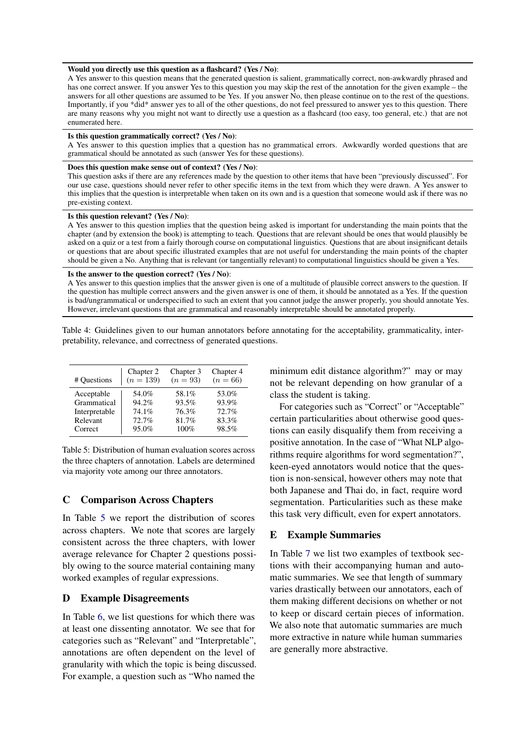#### <span id="page-6-2"></span>Would you directly use this question as a flashcard? (Yes / No):

A Yes answer to this question means that the generated question is salient, grammatically correct, non-awkwardly phrased and has one correct answer. If you answer Yes to this question you may skip the rest of the annotation for the given example – the answers for all other questions are assumed to be Yes. If you answer No, then please continue on to the rest of the questions. Importantly, if you \*did\* answer yes to all of the other questions, do not feel pressured to answer yes to this question. There are many reasons why you might not want to directly use a question as a flashcard (too easy, too general, etc.) that are not enumerated here.

#### Is this question grammatically correct? (Yes / No):

A Yes answer to this question implies that a question has no grammatical errors. Awkwardly worded questions that are grammatical should be annotated as such (answer Yes for these questions).

#### Does this question make sense out of context? (Yes / No):

This question asks if there are any references made by the question to other items that have been "previously discussed". For our use case, questions should never refer to other specific items in the text from which they were drawn. A Yes answer to this implies that the question is interpretable when taken on its own and is a question that someone would ask if there was no pre-existing context.

#### Is this question relevant? (Yes / No):

A Yes answer to this question implies that the question being asked is important for understanding the main points that the chapter (and by extension the book) is attempting to teach. Questions that are relevant should be ones that would plausibly be asked on a quiz or a test from a fairly thorough course on computational linguistics. Questions that are about insignificant details or questions that are about specific illustrated examples that are not useful for understanding the main points of the chapter should be given a No. Anything that is relevant (or tangentially relevant) to computational linguistics should be given a Yes.

#### Is the answer to the question correct? (Yes / No):

A Yes answer to this question implies that the answer given is one of a multitude of plausible correct answers to the question. If the question has multiple correct answers and the given answer is one of them, it should be annotated as a Yes. If the question is bad/ungrammatical or underspecified to such an extent that you cannot judge the answer properly, you should annotate Yes. However, irrelevant questions that are grammatical and reasonably interpretable should be annotated properly.

Table 4: Guidelines given to our human annotators before annotating for the acceptability, grammaticality, interpretability, relevance, and correctness of generated questions.

<span id="page-6-3"></span>

| # Questions   | Chapter 2   | Chapter 3 | Chapter 4  |
|---------------|-------------|-----------|------------|
|               | $(n = 139)$ | $(n=93)$  | $(n = 66)$ |
| Acceptable    | 54.0%       | 58.1%     | 53.0%      |
| Grammatical   | 94.2%       | 93.5%     | 93.9%      |
| Interpretable | 74.1%       | 76.3%     | 72.7%      |
| Relevant      | 72.7%       | 81.7%     | 83.3%      |
| Correct       | 95.0%       | 100%      | 98.5%      |

Table 5: Distribution of human evaluation scores across the three chapters of annotation. Labels are determined via majority vote among our three annotators.

#### C Comparison Across Chapters

In Table [5](#page-6-3) we report the distribution of scores across chapters. We note that scores are largely consistent across the three chapters, with lower average relevance for Chapter 2 questions possibly owing to the source material containing many worked examples of regular expressions.

## <span id="page-6-1"></span>D Example Disagreements

In Table [6,](#page-7-0) we list questions for which there was at least one dissenting annotator. We see that for categories such as "Relevant" and "Interpretable", annotations are often dependent on the level of granularity with which the topic is being discussed. For example, a question such as "Who named the

minimum edit distance algorithm?" may or may not be relevant depending on how granular of a class the student is taking.

For categories such as "Correct" or "Acceptable" certain particularities about otherwise good questions can easily disqualify them from receiving a positive annotation. In the case of "What NLP algorithms require algorithms for word segmentation?", keen-eyed annotators would notice that the question is non-sensical, however others may note that both Japanese and Thai do, in fact, require word segmentation. Particularities such as these make this task very difficult, even for expert annotators.

#### <span id="page-6-0"></span>E Example Summaries

In Table [7](#page-7-1) we list two examples of textbook sections with their accompanying human and automatic summaries. We see that length of summary varies drastically between our annotators, each of them making different decisions on whether or not to keep or discard certain pieces of information. We also note that automatic summaries are much more extractive in nature while human summaries are generally more abstractive.